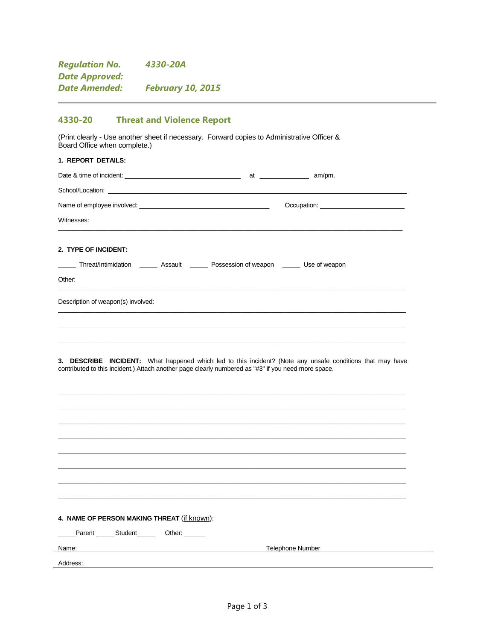| <b>Regulation No.</b> | 4330-20A                 |
|-----------------------|--------------------------|
| Date Approved:        |                          |
| Date Amended:         | <b>February 10, 2015</b> |

#### 4330-20 **Threat and Violence Report**

(Print clearly - Use another sheet if necessary. Forward copies to Administrative Officer & Board Office when complete.)

# 1. REPORT DETAILS: Date & time of incident: School/Location: \_ Name of employee involved: \_ Decupation: Witnesses: 2. TYPE OF INCIDENT: Threat/Intimidation \_\_\_\_\_\_ Assault \_\_\_\_\_\_ Possession of weapon \_\_\_\_\_\_ Use of weapon Other: Description of weapon(s) involved:

3. DESCRIBE INCIDENT: What happened which led to this incident? (Note any unsafe conditions that may have contributed to this incident.) Attach another page clearly numbered as "#3" if you need more space.

#### 4. NAME OF PERSON MAKING THREAT (if known):

Parent \_\_\_\_\_\_\_ Student\_\_\_\_\_\_\_\_\_\_ Other: \_\_\_\_\_\_\_

Name:

**Telephone Number** 

Address: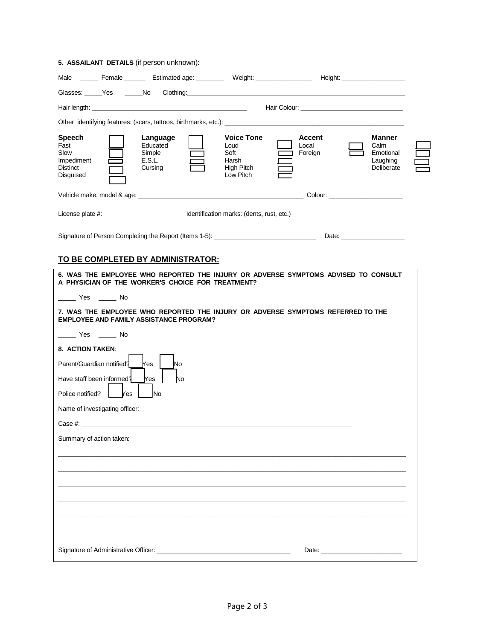### **5. ASSAILANT DETAILS** (if person unknown):

|                                                                                                                                                                                                                                |  |                                                     |                                                   |                                                                                 |       |                          | Male ________ Female _________ Estimated age: ___________ Weight: _______________ Height: ____________________ |  |
|--------------------------------------------------------------------------------------------------------------------------------------------------------------------------------------------------------------------------------|--|-----------------------------------------------------|---------------------------------------------------|---------------------------------------------------------------------------------|-------|--------------------------|----------------------------------------------------------------------------------------------------------------|--|
|                                                                                                                                                                                                                                |  |                                                     |                                                   |                                                                                 |       |                          |                                                                                                                |  |
|                                                                                                                                                                                                                                |  |                                                     |                                                   |                                                                                 |       |                          |                                                                                                                |  |
|                                                                                                                                                                                                                                |  |                                                     |                                                   |                                                                                 |       |                          |                                                                                                                |  |
| Speech<br>Fast<br>Slow<br>Impediment<br><b>Distinct</b><br>Disguised                                                                                                                                                           |  | Language<br>Educated<br>Simple<br>E.S.L.<br>Cursing |                                                   | <b>Voice Tone</b><br>Loud<br>Soft<br>Harsh<br>High Pitch<br>Low Pitch           | Local | <b>Accent</b><br>Foreign | <b>Manner</b><br>Calm<br>Emotional<br>Laughing<br>Deliberate                                                   |  |
|                                                                                                                                                                                                                                |  |                                                     |                                                   |                                                                                 |       |                          |                                                                                                                |  |
|                                                                                                                                                                                                                                |  |                                                     |                                                   |                                                                                 |       |                          |                                                                                                                |  |
|                                                                                                                                                                                                                                |  |                                                     |                                                   |                                                                                 |       |                          |                                                                                                                |  |
|                                                                                                                                                                                                                                |  |                                                     | <u>TO BE COMPLETED BY ADMINISTRATOR:</u>          |                                                                                 |       |                          |                                                                                                                |  |
|                                                                                                                                                                                                                                |  |                                                     | A PHYSICIAN OF THE WORKER'S CHOICE FOR TREATMENT? |                                                                                 |       |                          | 6. WAS THE EMPLOYEE WHO REPORTED THE INJURY OR ADVERSE SYMPTOMS ADVISED TO CONSULT                             |  |
| No Yes No                                                                                                                                                                                                                      |  |                                                     |                                                   |                                                                                 |       |                          |                                                                                                                |  |
|                                                                                                                                                                                                                                |  | <b>EMPLOYEE AND FAMILY ASSISTANCE PROGRAM?</b>      |                                                   | 7. WAS THE EMPLOYEE WHO REPORTED THE INJURY OR ADVERSE SYMPTOMS REFERRED TO THE |       |                          |                                                                                                                |  |
| No Yes No                                                                                                                                                                                                                      |  |                                                     |                                                   |                                                                                 |       |                          |                                                                                                                |  |
| 8. ACTION TAKEN:<br>Parent/Guardian notified?<br>Have staff been informed?                                                                                                                                                     |  | Yes<br>Yes                                          | No<br><b>No</b>                                   |                                                                                 |       |                          |                                                                                                                |  |
| Police notified?   Yes<br><b>INo</b>                                                                                                                                                                                           |  |                                                     |                                                   |                                                                                 |       |                          |                                                                                                                |  |
| Name of investigating officer: example of the state of the state of the state of the state of the state of the state of the state of the state of the state of the state of the state of the state of the state of the state o |  |                                                     |                                                   |                                                                                 |       |                          |                                                                                                                |  |
| Summary of action taken:                                                                                                                                                                                                       |  |                                                     |                                                   |                                                                                 |       |                          |                                                                                                                |  |
|                                                                                                                                                                                                                                |  |                                                     |                                                   |                                                                                 |       |                          |                                                                                                                |  |
|                                                                                                                                                                                                                                |  |                                                     |                                                   |                                                                                 |       |                          |                                                                                                                |  |
|                                                                                                                                                                                                                                |  |                                                     |                                                   |                                                                                 |       |                          |                                                                                                                |  |
|                                                                                                                                                                                                                                |  |                                                     |                                                   |                                                                                 |       |                          |                                                                                                                |  |
|                                                                                                                                                                                                                                |  |                                                     |                                                   |                                                                                 |       |                          |                                                                                                                |  |
|                                                                                                                                                                                                                                |  |                                                     |                                                   |                                                                                 |       |                          |                                                                                                                |  |